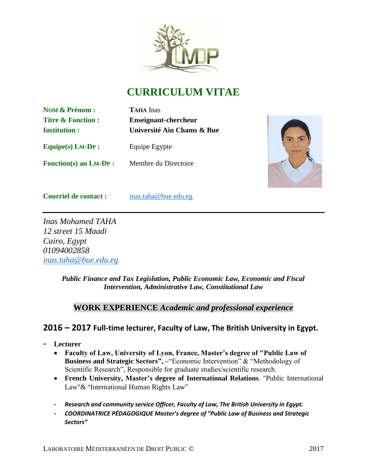

# **CURRICULUM VITAE**

**NOM & Prénom : TAHA** Inas

**Titre & Fonction : Enseignant-chercheur Institution : Université Ain Chams & Bue**

**Equipe(s) LM-DP :** Equipe Egypte

**Fonction(s) au LM-DP :** Membre du Directoire



**Courriel de contact :** [inas.taha@bue.edu.eg](mailto:inas.taha@bue.edu.eg)

*Inas Mohamed TAHA 12 street 15 Maadi Cairo, Egypt 01094002858 [inas.taha@bue.edu.eg](mailto:inas.taha@bue.edu.eg)*

> *Public Finance and Tax Legislation, Public Economic Law, Economic and Fiscal Intervention, Administrative Law, Constitutional Law*

# **WORK EXPERIENCE** *Academic and professional experience*

# **2016 – 2017 Full-time lecturer, Faculty of Law, The British University in Egypt.**

- **- Lecturer**
	- **Faculty of Law, University of Lyon, France, Master's degree of "Public Law of Business and Strategic Sectors", – "Economic Intervention" & "Methodology of** Scientific Research", Responsible for graduate studies/scientific research.
	- **French University, Master's degree of International Relations**. "Public International Law"& "International Human Rights Law"
	- **-** *Research and community service Officer, Faculty of Law, The British University in Egypt.*
	- **-** *COORDINATRICE PÉDAGOGIQUE Master's degree of "Public Law of Business and Strategic Sectors"*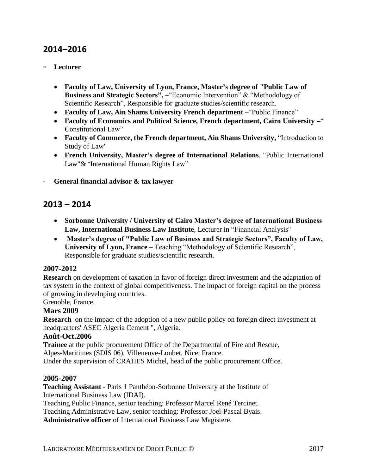# **2014–2016**

#### **- Lecturer**

- **Faculty of Law, University of Lyon, France, Master's degree of "Public Law of Business and Strategic Sectors", -"Economic Intervention" & "Methodology of** Scientific Research", Responsible for graduate studies/scientific research.
- **Faculty of Law, Ain Shams University French department –**"Public Finance"
- **Faculty of Economics and Political Science, French department, Cairo University –**" Constitutional Law"
- **Faculty of Commerce, the French department, Ain Shams University,** "Introduction to Study of Law"
- **French University, Master's degree of International Relations**. "Public International Law"& "International Human Rights Law"
- **- General financial advisor & tax lawyer**

# **2013 – 2014**

- **Sorbonne University / University of Cairo Master's degree of International Business Law, International Business Law Institute**, Lecturer in "Financial Analysis"
- **Master's degree of "Public Law of Business and Strategic Sectors", Faculty of Law, University of Lyon, France –** Teaching "Methodology of Scientific Research", Responsible for graduate studies/scientific research.

#### **2007-2012**

**Research** on development of taxation in favor of foreign direct investment and the adaptation of tax system in the context of global competitiveness. The impact of foreign capital on the process of growing in developing countries.

Grenoble, France.

#### **Mars 2009**

**Research** on the impact of the adoption of a new public policy on foreign direct investment at headquarters' ASEC Algeria Cement ", Algeria.

#### **Août-Oct.2006**

**Trainee** at the public procurement Office of the Departmental of Fire and Rescue, Alpes-Maritimes (SDIS 06), Villeneuve-Loubet, Nice, France. Under the supervision of CRAHES Michel, head of the public procurement Office.

#### **2005-2007**

**Teaching Assistant** - Paris 1 Panthéon-Sorbonne University at the Institute of International Business Law (IDAI).

Teaching Public Finance, senior teaching: Professor Marcel René Tercinet.

Teaching Administrative Law, senior teaching: Professor Joel-Pascal Byais.

**Administrative officer** of International Business Law Magistere.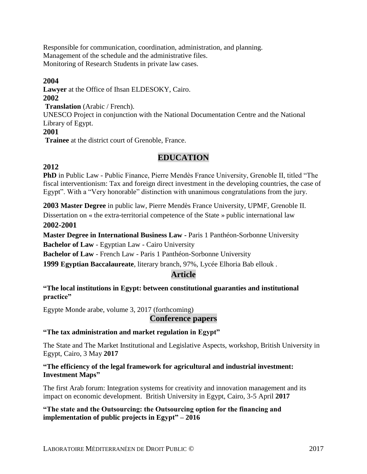Responsible for communication, coordination, administration, and planning. Management of the schedule and the administrative files. Monitoring of Research Students in private law cases.

#### **2004**

**Lawyer** at the Office of Ihsan ELDESOKY, Cairo.

#### **2002**

**Translation** (Arabic / French).

UNESCO Project in conjunction with the National Documentation Centre and the National Library of Egypt.

#### **2001**

**Trainee** at the district court of Grenoble, France.

# **EDUCATION**

# **2012**

**PhD** in Public Law - Public Finance, Pierre Mendès France University, Grenoble II, titled "The fiscal interventionism: Tax and foreign direct investment in the developing countries, the case of Egypt". With a "Very honorable" distinction with unanimous congratulations from the jury.

**2003 Master Degree** in public law, Pierre Mendès France University, UPMF, Grenoble II.

Dissertation on « the extra-territorial competence of the State » public international law **2002-2001**

**Master Degree in International Business Law -** Paris 1 Panthéon-Sorbonne University **Bachelor of Law** - Egyptian Law - Cairo University

**Bachelor of Law** - French Law - Paris 1 Panthéon-Sorbonne University

**1999 Egyptian Baccalaureate**, literary branch, 97%, Lycée Elhoria Bab ellouk .

# **Article**

**"The local institutions in Egypt: between constitutional guaranties and institutional practice"**

Egypte Monde arabe, volume 3, 2017 (forthcoming)

# **Conference papers**

#### **"The tax administration and market regulation in Egypt"**

The State and The Market Institutional and Legislative Aspects, workshop, British University in Egypt, Cairo, 3 May **2017**

#### **"The efficiency of the legal framework for agricultural and industrial investment: Investment Maps"**

The first Arab forum: Integration systems for creativity and innovation management and its impact on economic development. British University in Egypt, Cairo, 3-5 April **2017**

#### **"The state and the Outsourcing: the Outsourcing option for the financing and implementation of public projects in Egypt" – 2016**